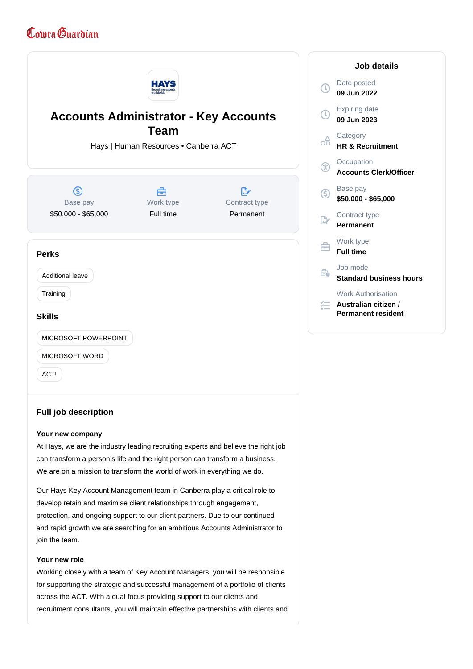# Comra Guardian



# **Your new company**

At Hays, we are the industry leading recruiting experts and believe the right job can transform a person's life and the right person can transform a business. We are on a mission to transform the world of work in everything we do.

Our Hays Key Account Management team in Canberra play a critical role to develop retain and maximise client relationships through engagement, protection, and ongoing support to our client partners. Due to our continued and rapid growth we are searching for an ambitious Accounts Administrator to join the team.

# **Your new role**

Working closely with a team of Key Account Managers, you will be responsible for supporting the strategic and successful management of a portfolio of clients across the ACT. With a dual focus providing support to our clients and recruitment consultants, you will maintain effective partnerships with clients and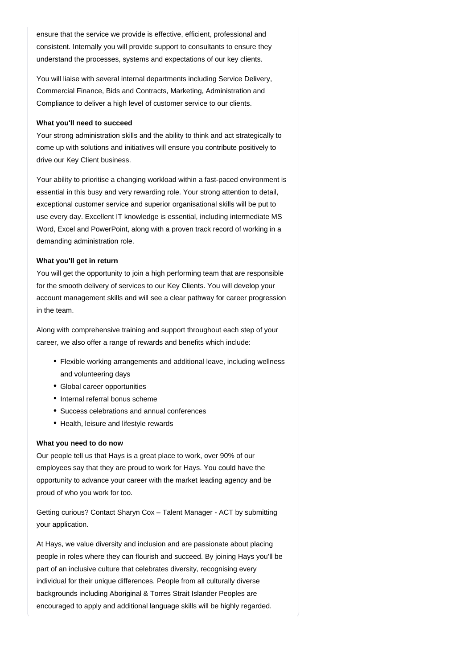ensure that the service we provide is effective, efficient, professional and consistent. Internally you will provide support to consultants to ensure they understand the processes, systems and expectations of our key clients.

You will liaise with several internal departments including Service Delivery, Commercial Finance, Bids and Contracts, Marketing, Administration and Compliance to deliver a high level of customer service to our clients.

#### **What you'll need to succeed**

Your strong administration skills and the ability to think and act strategically to come up with solutions and initiatives will ensure you contribute positively to drive our Key Client business.

Your ability to prioritise a changing workload within a fast-paced environment is essential in this busy and very rewarding role. Your strong attention to detail, exceptional customer service and superior organisational skills will be put to use every day. Excellent IT knowledge is essential, including intermediate MS Word, Excel and PowerPoint, along with a proven track record of working in a demanding administration role.

### **What you'll get in return**

You will get the opportunity to join a high performing team that are responsible for the smooth delivery of services to our Key Clients. You will develop your account management skills and will see a clear pathway for career progression in the team.

Along with comprehensive training and support throughout each step of your career, we also offer a range of rewards and benefits which include:

- Flexible working arrangements and additional leave, including wellness and volunteering days
- Global career opportunities
- Internal referral bonus scheme
- Success celebrations and annual conferences
- Health, leisure and lifestyle rewards

# **What you need to do now**

Our people tell us that Hays is a great place to work, over 90% of our employees say that they are proud to work for Hays. You could have the opportunity to advance your career with the market leading agency and be proud of who you work for too.

Getting curious? Contact Sharyn Cox – Talent Manager - ACT by submitting your application.

At Hays, we value diversity and inclusion and are passionate about placing people in roles where they can flourish and succeed. By joining Hays you'll be part of an inclusive culture that celebrates diversity, recognising every individual for their unique differences. People from all culturally diverse backgrounds including Aboriginal & Torres Strait Islander Peoples are encouraged to apply and additional language skills will be highly regarded.